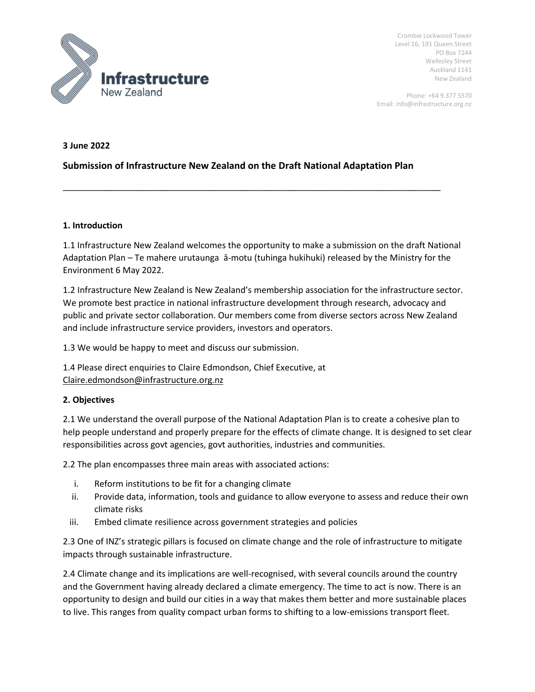

Crombie Lockwood Tower Level 16, 191 Queen Street PO Box 7244 Wellesley Street Auckland 1141 New Zealand

Phone: +64 9 377 5570 Email: info@infrastructure.org.nz

#### **3 June 2022**

# **Submission of Infrastructure New Zealand on the Draft National Adaptation Plan**

\_\_\_\_\_\_\_\_\_\_\_\_\_\_\_\_\_\_\_\_\_\_\_\_\_\_\_\_\_\_\_\_\_\_\_\_\_\_\_\_\_\_\_\_\_\_\_\_\_\_\_\_\_\_\_\_\_\_\_\_\_\_\_\_\_\_\_\_\_\_\_\_\_\_\_\_\_\_\_

#### **1. Introduction**

1.1 Infrastructure New Zealand welcomes the opportunity to make a submission on the draft National Adaptation Plan – Te mahere urutaunga ā-motu (tuhinga hukihuki) released by the Ministry for the Environment 6 May 2022.

1.2 Infrastructure New Zealand is New Zealand's membership association for the infrastructure sector. We promote best practice in national infrastructure development through research, advocacy and public and private sector collaboration. Our members come from diverse sectors across New Zealand and include infrastructure service providers, investors and operators.

1.3 We would be happy to meet and discuss our submission.

1.4 Please direct enquiries to Claire Edmondson, Chief Executive, at [Claire.edmondson@infrastructure.org.nz](mailto:Claire.edmondson@infrastructure.org.nz)

## **2. Objectives**

2.1 We understand the overall purpose of the National Adaptation Plan is to create a cohesive plan to help people understand and properly prepare for the effects of climate change. It is designed to set clear responsibilities across govt agencies, govt authorities, industries and communities.

2.2 The plan encompasses three main areas with associated actions:

- i. Reform institutions to be fit for a changing climate
- ii. Provide data, information, tools and guidance to allow everyone to assess and reduce their own climate risks
- iii. Embed climate resilience across government strategies and policies

2.3 One of INZ's strategic pillars is focused on climate change and the role of infrastructure to mitigate impacts through sustainable infrastructure.

2.4 Climate change and its implications are well-recognised, with several councils around the country and the Government having already declared a climate emergency. The time to act is now. There is an opportunity to design and build our cities in a way that makes them better and more sustainable places to live. This ranges from quality compact urban forms to shifting to a low-emissions transport fleet.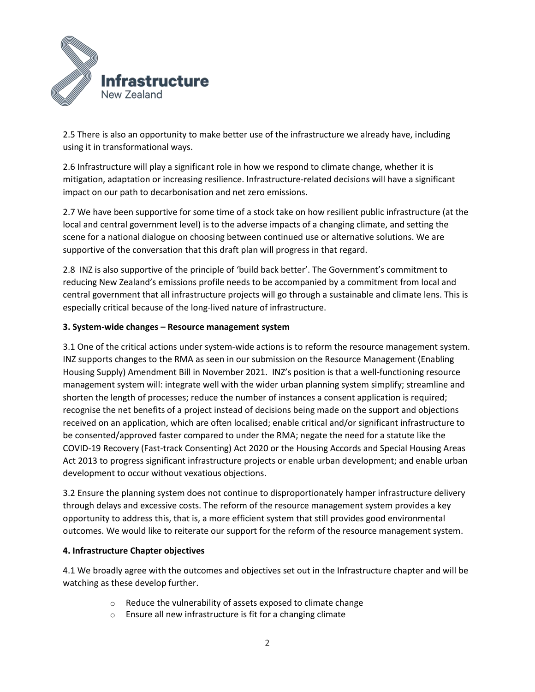

2.5 There is also an opportunity to make better use of the infrastructure we already have, including using it in transformational ways.

2.6 Infrastructure will play a significant role in how we respond to climate change, whether it is mitigation, adaptation or increasing resilience. Infrastructure-related decisions will have a significant impact on our path to decarbonisation and net zero emissions.

2.7 We have been supportive for some time of a stock take on how resilient public infrastructure (at the local and central government level) is to the adverse impacts of a changing climate, and setting the scene for a national dialogue on choosing between continued use or alternative solutions. We are supportive of the conversation that this draft plan will progress in that regard.

2.8 INZ is also supportive of the principle of 'build back better'. The Government's commitment to reducing New Zealand's emissions profile needs to be accompanied by a commitment from local and central government that all infrastructure projects will go through a sustainable and climate lens. This is especially critical because of the long-lived nature of infrastructure.

### **3. System-wide changes – Resource management system**

3.1 One of the critical actions under system-wide actions is to reform the resource management system. INZ supports changes to the RMA as seen in our submission on the Resource Management (Enabling Housing Supply) Amendment Bill in November 2021. INZ's position is that a well-functioning resource management system will: integrate well with the wider urban planning system simplify; streamline and shorten the length of processes; reduce the number of instances a consent application is required; recognise the net benefits of a project instead of decisions being made on the support and objections received on an application, which are often localised; enable critical and/or significant infrastructure to be consented/approved faster compared to under the RMA; negate the need for a statute like the COVID-19 Recovery (Fast-track Consenting) Act 2020 or the Housing Accords and Special Housing Areas Act 2013 to progress significant infrastructure projects or enable urban development; and enable urban development to occur without vexatious objections.

3.2 Ensure the planning system does not continue to disproportionately hamper infrastructure delivery through delays and excessive costs. The reform of the resource management system provides a key opportunity to address this, that is, a more efficient system that still provides good environmental outcomes. We would like to reiterate our support for the reform of the resource management system.

#### **4. Infrastructure Chapter objectives**

4.1 We broadly agree with the outcomes and objectives set out in the Infrastructure chapter and will be watching as these develop further.

- o Reduce the vulnerability of assets exposed to climate change
- o Ensure all new infrastructure is fit for a changing climate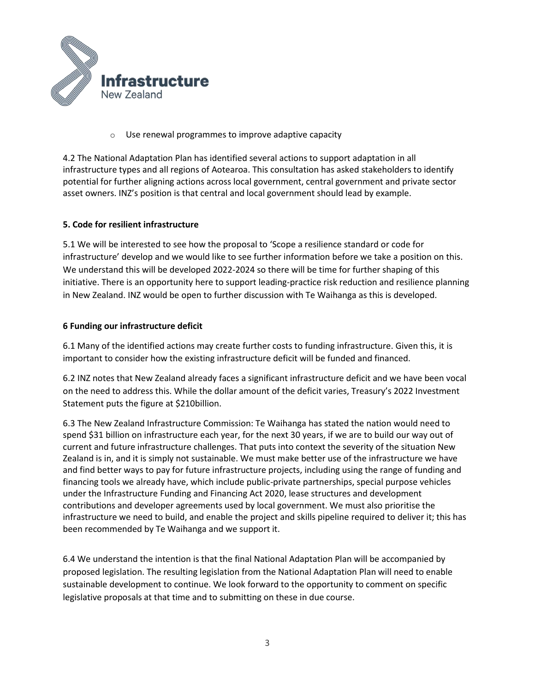

o Use renewal programmes to improve adaptive capacity

4.2 The National Adaptation Plan has identified several actions to support adaptation in all infrastructure types and all regions of Aotearoa. This consultation has asked stakeholders to identify potential for further aligning actions across local government, central government and private sector asset owners. INZ's position is that central and local government should lead by example.

### **5. Code for resilient infrastructure**

5.1 We will be interested to see how the proposal to 'Scope a resilience standard or code for infrastructure' develop and we would like to see further information before we take a position on this. We understand this will be developed 2022-2024 so there will be time for further shaping of this initiative. There is an opportunity here to support leading-practice risk reduction and resilience planning in New Zealand. INZ would be open to further discussion with Te Waihanga as this is developed.

### **6 Funding our infrastructure deficit**

6.1 Many of the identified actions may create further costs to funding infrastructure. Given this, it is important to consider how the existing infrastructure deficit will be funded and financed.

6.2 INZ notes that New Zealand already faces a significant infrastructure deficit and we have been vocal on the need to address this. While the dollar amount of the deficit varies, Treasury's 2022 Investment Statement puts the figure at \$210billion.

6.3 The New Zealand Infrastructure Commission: Te Waihanga has stated the nation would need to spend \$31 billion on infrastructure each year, for the next 30 years, if we are to build our way out of current and future infrastructure challenges. That puts into context the severity of the situation New Zealand is in, and it is simply not sustainable. We must make better use of the infrastructure we have and find better ways to pay for future infrastructure projects, including using the range of funding and financing tools we already have, which include public-private partnerships, special purpose vehicles under the Infrastructure Funding and Financing Act 2020, lease structures and development contributions and developer agreements used by local government. We must also prioritise the infrastructure we need to build, and enable the project and skills pipeline required to deliver it; this has been recommended by Te Waihanga and we support it.

6.4 We understand the intention is that the final National Adaptation Plan will be accompanied by proposed legislation. The resulting legislation from the National Adaptation Plan will need to enable sustainable development to continue. We look forward to the opportunity to comment on specific legislative proposals at that time and to submitting on these in due course.